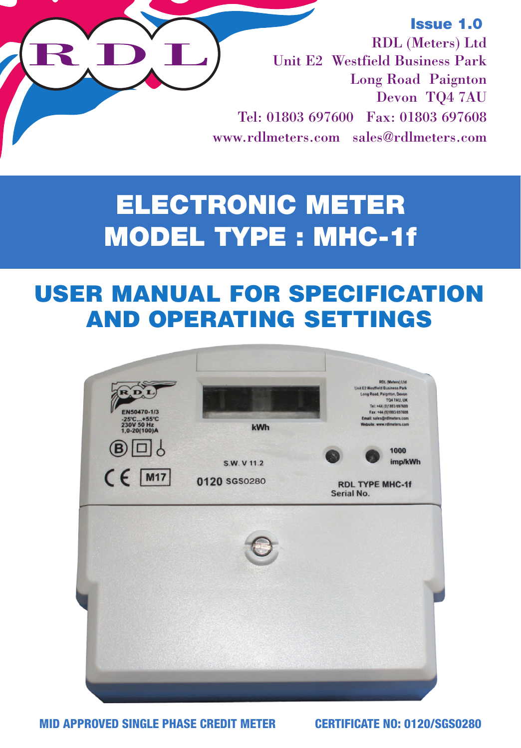### Issue 1.0

RDL (Meters) Ltd Unit E2 Westfield Business Park Long Road Paignton Devon TQ4 7AU Tel: 01803 697600 Fax: 01803 697608 www.rdlmeters.com sales@rdlmeters.com

# **ELECTRONIC METER** ELECTRONIC METERS & **MODEL TYPE : MHC-1f**

# USER MANUAL FOR SPECIFICATION AND OPERATING SETTINGS



MID APPROVED SINGLE PHASE CREDIT METER CERTIFICATE NO: 0120/SGS0280

R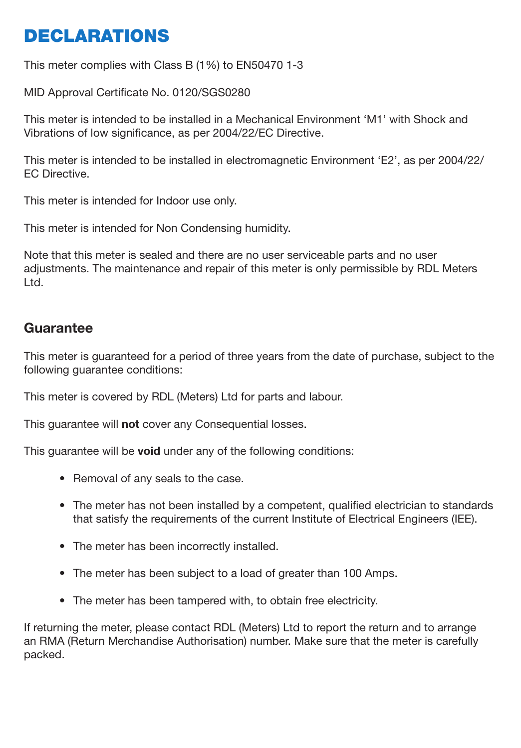# **DECLARATIONS**

This meter complies with Class B (1%) to EN50470 1-3

MID Approval Certificate No. 0120/SGS0280

This meter is intended to be installed in a Mechanical Environment 'M1' with Shock and Vibrations of low significance, as per 2004/22/EC Directive.

This meter is intended to be installed in electromagnetic Environment 'E2', as per 2004/22/ EC Directive.

This meter is intended for Indoor use only.

This meter is intended for Non Condensing humidity.

Note that this meter is sealed and there are no user serviceable parts and no user adjustments. The maintenance and repair of this meter is only permissible by RDL Meters Ltd.

#### **Guarantee**

This meter is guaranteed for a period of three years from the date of purchase, subject to the following guarantee conditions:

This meter is covered by RDL (Meters) Ltd for parts and labour.

This guarantee will **not** cover any Consequential losses.

This guarantee will be **void** under any of the following conditions:

- Removal of any seals to the case.
- The meter has not been installed by a competent, qualified electrician to standards that satisfy the requirements of the current Institute of Electrical Engineers (IEE).
- The meter has been incorrectly installed.
- The meter has been subject to a load of greater than 100 Amps.
- The meter has been tampered with, to obtain free electricity.

If returning the meter, please contact RDL (Meters) Ltd to report the return and to arrange an RMA (Return Merchandise Authorisation) number. Make sure that the meter is carefully packed.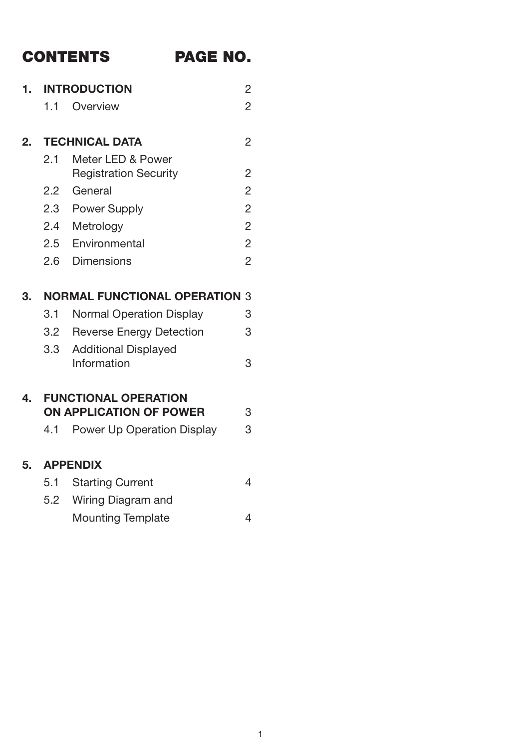# CONTENTS PAGE NO.

| 1. | <b>INTRODUCTION</b> |                                      | $\overline{c}$ |
|----|---------------------|--------------------------------------|----------------|
|    | 11                  | Overview                             | $\mathfrak{p}$ |
| 2  |                     | <b>TECHNICAL DATA</b>                | $\mathfrak{p}$ |
|    | 2.1                 | Meter LED & Power                    |                |
|    |                     | <b>Registration Security</b>         | $\overline{c}$ |
|    |                     | 2.2 General                          | $\overline{c}$ |
|    | 2.3                 | Power Supply                         | $\overline{c}$ |
|    | 2.4                 | Metrology                            | $\overline{c}$ |
|    | 2.5                 | Environmental                        | $\overline{c}$ |
|    | 2.6                 | Dimensions                           | $\overline{c}$ |
|    |                     |                                      |                |
| 3. |                     | <b>NORMAL FUNCTIONAL OPERATION 3</b> |                |
|    | 3.1                 | Normal Operation Display             | 3              |
|    | 3.2                 | Reverse Energy Detection             | 3              |
|    | 3.3 <sup>1</sup>    | <b>Additional Displayed</b>          |                |
|    |                     | Information                          | 3              |
| 4. |                     | <b>FUNCTIONAL OPERATION</b>          |                |
|    |                     | ON APPLICATION OF POWER              | 3              |
|    | 4.1                 | Power Up Operation Display           | 3              |
| 5. |                     | <b>APPENDIX</b>                      |                |
|    | 5.1                 | <b>Starting Current</b>              | 4              |
|    | 5.2                 | Wiring Diagram and                   |                |
|    |                     | Mounting Template                    | $\overline{4}$ |
|    |                     |                                      |                |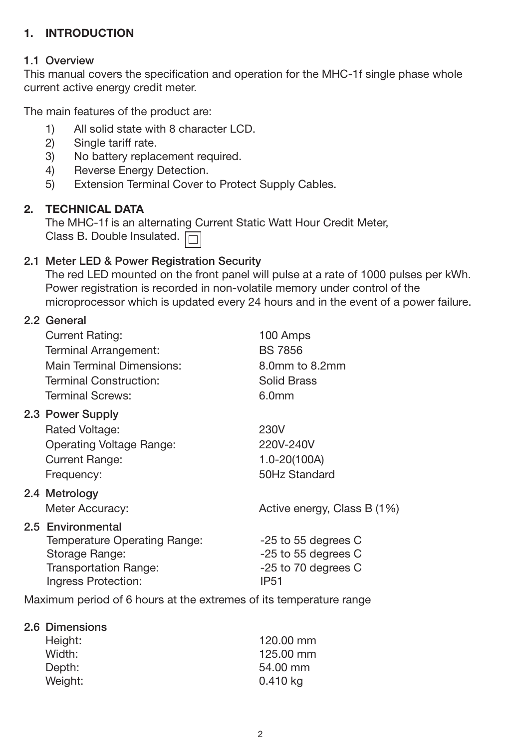#### 2) Uses secure disposable magnetic token cards available in Sterling, Euro and Dollars. **1. INTRODUCTION**  $\overline{3}$  When value card is inserted, value card to the meter.

# 1.1 Overview

1.1 Overview<br>This manual covers the specification and operation for the MHC-1f single phase whole current active energy credit meter.

The main features of the product are:

- 1) All solid state with 8 character LCD.
- $2<sub>1</sub>$  $2)$  Single tariff rate.<br>3) No battery replace
- 12) No battery replacement required. 3) No battery replacement required.
- 13) Internation Communication<br>
4) Reverse Energy Detection.
- $\frac{1}{\sqrt{1+\frac{1}{2}}}$ 3) Extension Terminal Co 5) Extension Terminal Cover to Protect Supply Cables.

#### **2. TECHNICAL DATA**

The MHC-1f is an alternating Current Static Watt Hour Credit Meter, Class B. Double Insulated.

#### **2.1 Meter LED & Power Registration Security** 2.1 Meter LED & Power Registration Security

The red LED mounted on the front panel will pulse at a rate of 1000 pulses per kWh. **5.1 Wiring Diagram and Mounting Template** The red LED mounted on the front panel will pulse at a rate of 1000 pulses per kWh. Power registration is recorded in non-volatile memory under control of the Power registration is recorded in non-volatile memory under control of the microprocessor which is updated every 24 hours and in the event of a power failure. microprocessor which is updated every 24 hours and in the event of a power failure. failure.

## 2.2 General

| Current Rating:<br>Terminal Arrangement:            | 100 Amps<br><b>BS 7856</b>    |
|-----------------------------------------------------|-------------------------------|
| Main Terminal Dimensions:<br>Terminal Construction: | 8.0mm to 8.2mm<br>Solid Brass |
| Terminal Screws:                                    | 6.0mm                         |
| 2.3 Power Supply                                    |                               |
| Rated Voltage:                                      | 230V                          |
| Operating Voltage Range:                            | 220V-240V                     |
| Current Range:                                      | 1.0-20(100A)                  |
| Frequency:                                          | 50Hz Standard                 |
| 2.4 Metrology                                       |                               |
| Meter Accuracy:                                     | Active energy, Class B (1%)   |
| 2.5 Environmental<br>Temperature Operating Range:   | -25 to 55 degrees C           |
| Storage Range:                                      | -25 to 55 degrees C           |
| Transportation Range:<br>Ingress Protection:        | -25 to 70 degrees C<br>IP51   |
|                                                     |                               |

2 15 Maximum period of 6 hours at the extremes of its temperature range

#### 2.6 Dimensions

| Height: | 120.00 mm |
|---------|-----------|
| Width:  | 125.00 mm |
| Depth:  | 54,00 mm  |
| Weight: | 0.410 kg  |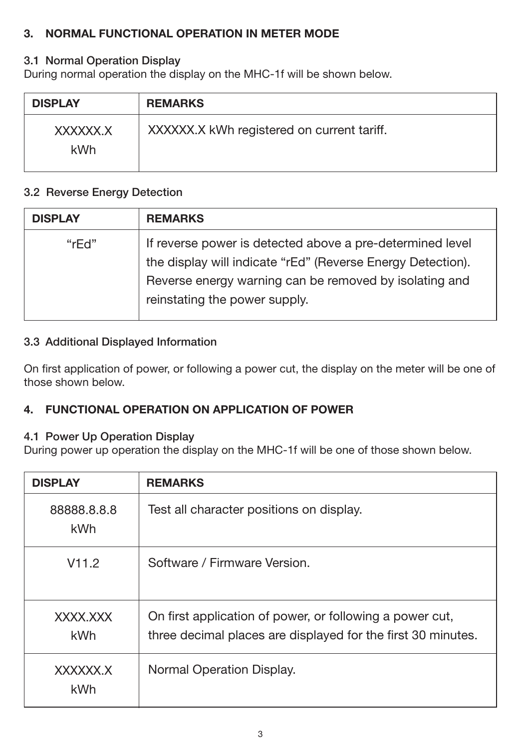#### **3. NORMAL FUNCTIONAL OPERATION IN METER MODE**

#### 3.1 Normal Operation Display

During normal operation the display on the MHC-1f will be shown below.

| <b>DISPLAY</b>  | <b>REMARKS</b>                             |
|-----------------|--------------------------------------------|
| XXXXXX.X<br>kWh | XXXXXX.X kWh registered on current tariff. |

#### 3.2 Reverse Energy Detection

| <b>DISPLAY</b> | <b>REMARKS</b>                                                                                                                                                                                                      |
|----------------|---------------------------------------------------------------------------------------------------------------------------------------------------------------------------------------------------------------------|
| "rFd"          | If reverse power is detected above a pre-determined level<br>the display will indicate "rEd" (Reverse Energy Detection).<br>Reverse energy warning can be removed by isolating and<br>reinstating the power supply. |

#### 3.3 Additional Displayed Information

On first application of power, or following a power cut, the display on the meter will be one of those shown below.

#### **4. FUNCTIONAL OPERATION ON APPLICATION OF POWER**

#### 4.1 Power Up Operation Display

During power up operation the display on the MHC-1f will be one of those shown below.

| <b>DISPLAY</b>     | <b>REMARKS</b>                                                                                                           |
|--------------------|--------------------------------------------------------------------------------------------------------------------------|
| 88888.8.8.8<br>kWh | Test all character positions on display.                                                                                 |
| V11.2              | Software / Firmware Version.                                                                                             |
| XXXX.XXX<br>kWh    | On first application of power, or following a power cut,<br>three decimal places are displayed for the first 30 minutes. |
| XXXXXX.X<br>kWh    | Normal Operation Display.                                                                                                |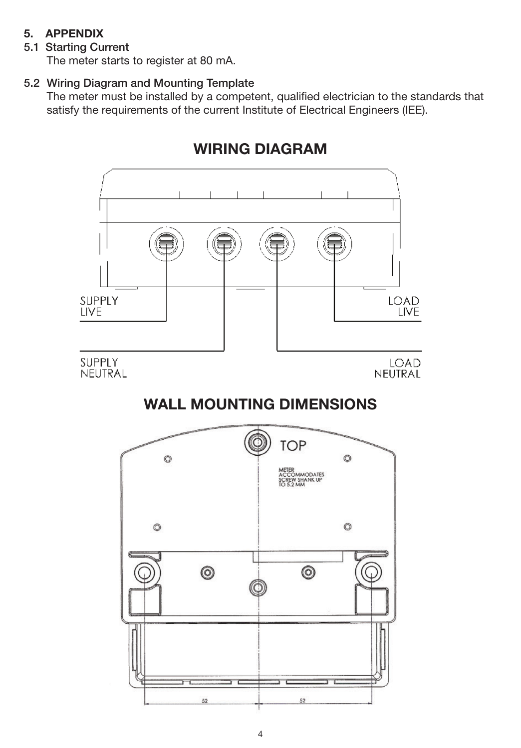#### **5. APPENDIX**

### 5.1 Starting Current

The meter starts to register at 80 mA.

## 5.2 Wiring Diagram and Mounting Template

The meter must be installed by a competent, qualified electrician to the standards that satisfy the requirements of the current Institute of Electrical Engineers (IEE).



## **WIRING DIAGRAM**

**WALL MOUNTING DIMENSIONS**